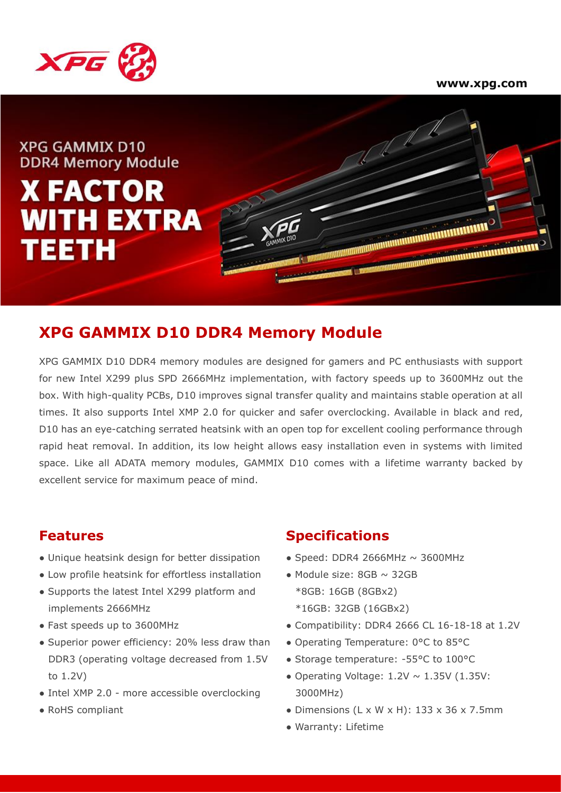



**XPG GAMMIX D10 DDR4 Memory Module** 

# **X FACTOR WITH EXTRA** TEETH



# **XPG GAMMIX D10 DDR4 Memory Module**

XPG GAMMIX D10 DDR4 memory modules are designed for gamers and PC enthusiasts with support for new Intel X299 plus SPD 2666MHz implementation, with factory speeds up to 3600MHz out the box. With high-quality PCBs, D10 improves signal transfer quality and maintains stable operation at all times. It also supports Intel XMP 2.0 for quicker and safer overclocking. Available in black and red, D10 has an eye-catching serrated heatsink with an open top for excellent cooling performance through rapid heat removal. In addition, its low height allows easy installation even in systems with limited space. Like all ADATA memory modules, GAMMIX D10 comes with a lifetime warranty backed by excellent service for maximum peace of mind.

- Unique heatsink design for better dissipation
- Low profile heatsink for effortless installation
- Supports the latest Intel X299 platform and implements 2666MHz
- Fast speeds up to 3600MHz
- Superior power efficiency: 20% less draw than DDR3 (operating voltage decreased from 1.5V to 1.2V)
- Intel XMP 2.0 more accessible overclocking
- RoHS compliant

#### **Features Specifications**

- $\bullet$  Speed: DDR4 2666MHz  $\sim$  3600MHz
- $\bullet$  Module size: 8GB  $\sim$  32GB \*8GB: 16GB (8GBx2) \*16GB: 32GB (16GBx2)
- Compatibility: DDR4 2666 CL 16-18-18 at 1.2V
- Operating Temperature: 0°C to 85°C
- Storage temperature: -55°C to 100°C
- Operating Voltage:  $1.2V \sim 1.35V$  (1.35V: 3000MHz)
- Dimensions  $(L \times W \times H)$ : 133 x 36 x 7.5mm
- Warranty: Lifetime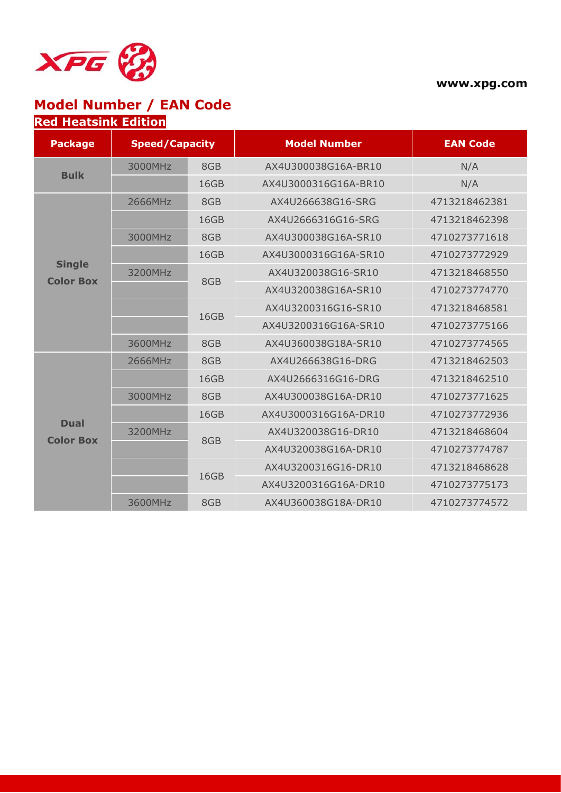

**www.xpg.com**

## **Model Number / EAN Code Red Heatsink Edition**

| <b>Package</b>                    | <b>Speed/Capacity</b> |      | <b>Model Number</b>  | <b>EAN Code</b> |  |
|-----------------------------------|-----------------------|------|----------------------|-----------------|--|
|                                   | 3000MHz               | 8GB  | AX4U300038G16A-BR10  | N/A             |  |
| <b>Bulk</b>                       |                       | 16GB | AX4U3000316G16A-BR10 | N/A             |  |
|                                   | 2666MHz               | 8GB  | AX4U266638G16-SRG    | 4713218462381   |  |
|                                   |                       | 16GB | AX4U2666316G16-SRG   | 4713218462398   |  |
|                                   | 3000MHz               | 8GB  | AX4U300038G16A-SR10  | 4710273771618   |  |
|                                   |                       | 16GB | AX4U3000316G16A-SR10 | 4710273772929   |  |
| <b>Single</b><br><b>Color Box</b> | 3200MHz               | 8GB  | AX4U320038G16-SR10   | 4713218468550   |  |
|                                   |                       |      | AX4U320038G16A-SR10  | 4710273774770   |  |
|                                   |                       | 16GB | AX4U3200316G16-SR10  | 4713218468581   |  |
|                                   |                       |      | AX4U3200316G16A-SR10 | 4710273775166   |  |
|                                   | 3600MHz               | 8GB  | AX4U360038G18A-SR10  | 4710273774565   |  |
|                                   | 2666MHz               | 8GB  | AX4U266638G16-DRG    | 4713218462503   |  |
|                                   |                       | 16GB | AX4U2666316G16-DRG   | 4713218462510   |  |
|                                   | 3000MHz               | 8GB  | AX4U300038G16A-DR10  | 4710273771625   |  |
|                                   |                       | 16GB | AX4U3000316G16A-DR10 | 4710273772936   |  |
| <b>Dual</b><br><b>Color Box</b>   | 3200MHz               |      | AX4U320038G16-DR10   | 4713218468604   |  |
|                                   |                       | 8GB  | AX4U320038G16A-DR10  | 4710273774787   |  |
|                                   |                       | 16GB | AX4U3200316G16-DR10  | 4713218468628   |  |
|                                   |                       |      | AX4U3200316G16A-DR10 | 4710273775173   |  |
|                                   | 3600MHz               | 8GB  | AX4U360038G18A-DR10  | 4710273774572   |  |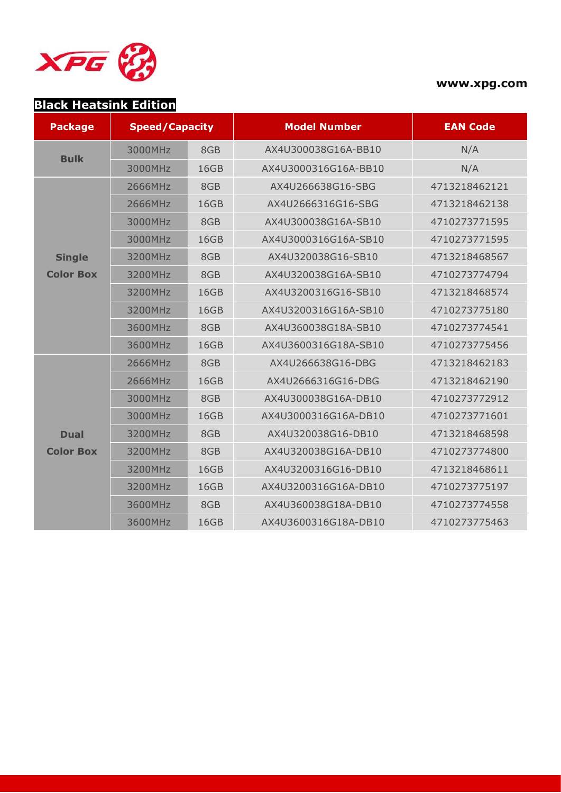

#### **www.xpg.com**

# **Black Heatsink Edition**

| <b>Package</b>   | <b>Speed/Capacity</b> |      | <b>Model Number</b>  | <b>EAN Code</b> |  |
|------------------|-----------------------|------|----------------------|-----------------|--|
| <b>Bulk</b>      | 3000MHz               | 8GB  | AX4U300038G16A-BB10  | N/A             |  |
|                  | 3000MHz               | 16GB | AX4U3000316G16A-BB10 | N/A             |  |
|                  | 2666MHz               | 8GB  | AX4U266638G16-SBG    | 4713218462121   |  |
|                  | 2666MHz               | 16GB | AX4U2666316G16-SBG   | 4713218462138   |  |
|                  | 3000MHz               | 8GB  | AX4U300038G16A-SB10  | 4710273771595   |  |
|                  | 3000MHz               | 16GB | AX4U3000316G16A-SB10 | 4710273771595   |  |
| <b>Single</b>    | 3200MHz               | 8GB  | AX4U320038G16-SB10   | 4713218468567   |  |
| <b>Color Box</b> | 3200MHz               | 8GB  | AX4U320038G16A-SB10  | 4710273774794   |  |
|                  | 3200MHz               | 16GB | AX4U3200316G16-SB10  | 4713218468574   |  |
|                  | 3200MHz               | 16GB | AX4U3200316G16A-SB10 | 4710273775180   |  |
|                  | 3600MHz               | 8GB  | AX4U360038G18A-SB10  | 4710273774541   |  |
|                  | 3600MHz               | 16GB | AX4U3600316G18A-SB10 | 4710273775456   |  |
|                  | 2666MHz               | 8GB  | AX4U266638G16-DBG    | 4713218462183   |  |
|                  | 2666MHz               | 16GB | AX4U2666316G16-DBG   | 4713218462190   |  |
|                  | 3000MHz               | 8GB  | AX4U300038G16A-DB10  | 4710273772912   |  |
|                  | 3000MHz               | 16GB | AX4U3000316G16A-DB10 | 4710273771601   |  |
| <b>Dual</b>      | 3200MHz               | 8GB  | AX4U320038G16-DB10   | 4713218468598   |  |
| <b>Color Box</b> | 3200MHz               | 8GB  | AX4U320038G16A-DB10  | 4710273774800   |  |
|                  | 3200MHz               | 16GB | AX4U3200316G16-DB10  | 4713218468611   |  |
|                  | 3200MHz               | 16GB | AX4U3200316G16A-DB10 | 4710273775197   |  |
|                  | 3600MHz               | 8GB  | AX4U360038G18A-DB10  | 4710273774558   |  |
|                  | 3600MHz               | 16GB | AX4U3600316G18A-DB10 | 4710273775463   |  |